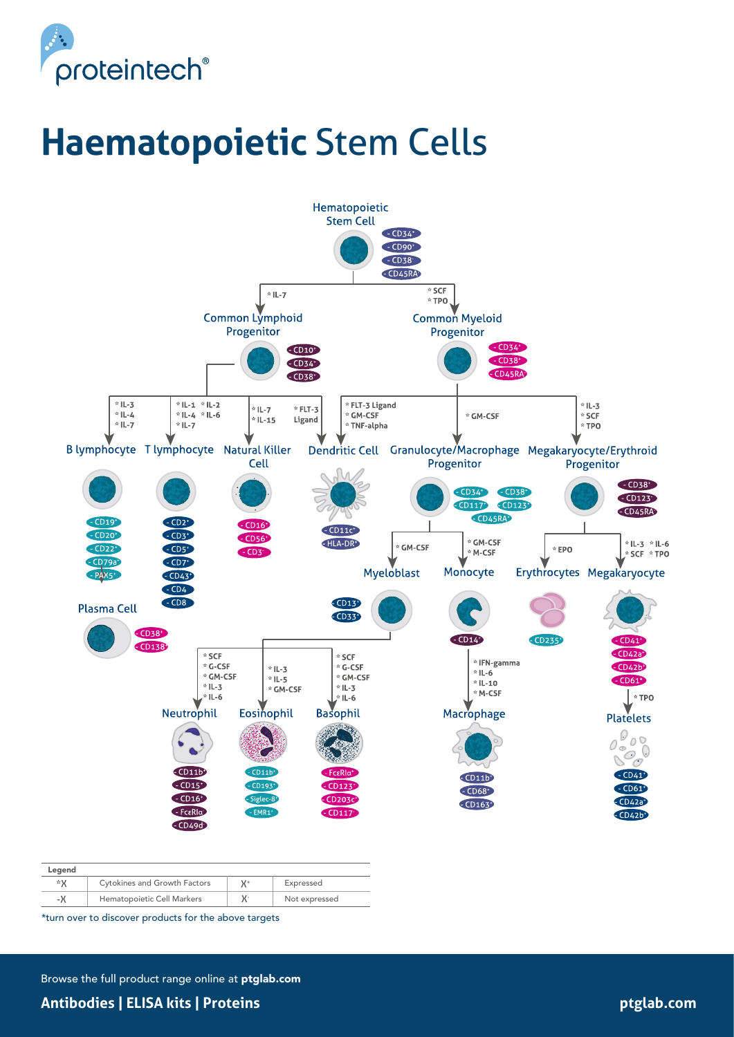

# **Haematopoietic** Stem Cells



| Legend |                                     |    |               |
|--------|-------------------------------------|----|---------------|
| ∗x     | <b>Cytokines and Growth Factors</b> | V+ | Expressed     |
| -Х     | Hematopoietic Cell Markers          | χ- | Not expressed |

\*turn over to discover products for the above targets

Browse the full product range online at ptglab.com